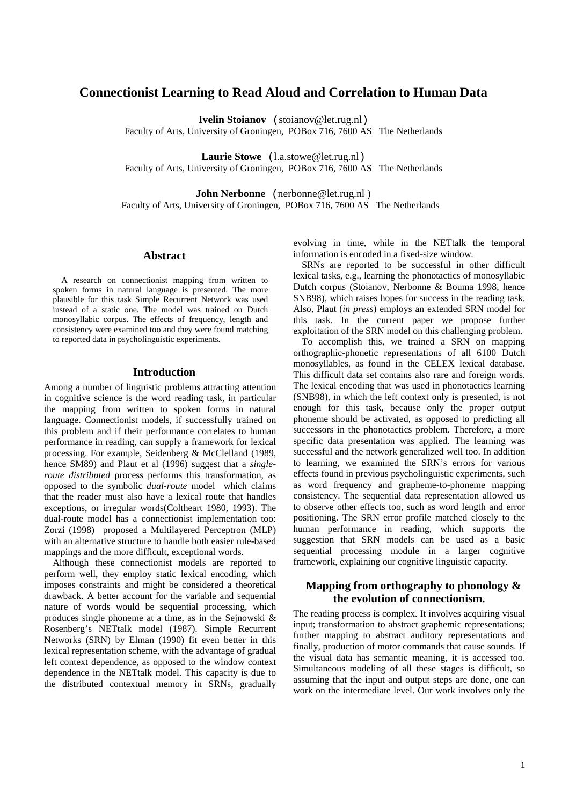# **Connectionist Learning to Read Aloud and Correlation to Human Data**

**Ivelin Stoianov** (stoianov@let.rug.nl)

Faculty of Arts, University of Groningen, POBox 716, 7600 AS The Netherlands

Laurie Stowe (l.a.stowe@let.rug.nl) Faculty of Arts, University of Groningen, POBox 716, 7600 AS The Netherlands

**John Nerbonne** (nerbonne@let.rug.nl) Faculty of Arts, University of Groningen, POBox 716, 7600 AS The Netherlands

## **Abstract**

A research on connectionist mapping from written to spoken forms in natural language is presented. The more plausible for this task Simple Recurrent Network was used instead of a static one. The model was trained on Dutch monosyllabic corpus. The effects of frequency, length and consistency were examined too and they were found matching to reported data in psycholinguistic experiments.

## **Introduction**

Among a number of linguistic problems attracting attention in cognitive science is the word reading task, in particular the mapping from written to spoken forms in natural language. Connectionist models, if successfully trained on this problem and if their performance correlates to human performance in reading, can supply a framework for lexical processing. For example, Seidenberg & McClelland (1989, hence SM89) and Plaut et al (1996) suggest that a *singleroute distributed* process performs this transformation, as opposed to the symbolic *dual-route* model which claims that the reader must also have a lexical route that handles exceptions, or irregular words(Coltheart 1980, 1993). The dual-route model has a connectionist implementation too: Zorzi (1998) proposed a Multilayered Perceptron (MLP) with an alternative structure to handle both easier rule-based mappings and the more difficult, exceptional words.

Although these connectionist models are reported to perform well, they employ static lexical encoding, which imposes constraints and might be considered a theoretical drawback. A better account for the variable and sequential nature of words would be sequential processing, which produces single phoneme at a time, as in the Sejnowski & Rosenberg's NETtalk model (1987). Simple Recurrent Networks (SRN) by Elman (1990) fit even better in this lexical representation scheme, with the advantage of gradual left context dependence, as opposed to the window context dependence in the NETtalk model. This capacity is due to the distributed contextual memory in SRNs, gradually evolving in time, while in the NETtalk the temporal information is encoded in a fixed-size window.

SRNs are reported to be successful in other difficult lexical tasks, e.g., learning the phonotactics of monosyllabic Dutch corpus (Stoianov, Nerbonne & Bouma 1998, hence SNB98), which raises hopes for success in the reading task. Also, Plaut (*in press*) employs an extended SRN model for this task. In the current paper we propose further exploitation of the SRN model on this challenging problem.

To accomplish this, we trained a SRN on mapping orthographic-phonetic representations of all 6100 Dutch monosyllables, as found in the CELEX lexical database. This difficult data set contains also rare and foreign words. The lexical encoding that was used in phonotactics learning (SNB98), in which the left context only is presented, is not enough for this task, because only the proper output phoneme should be activated, as opposed to predicting all successors in the phonotactics problem. Therefore, a more specific data presentation was applied. The learning was successful and the network generalized well too. In addition to learning, we examined the SRN's errors for various effects found in previous psycholinguistic experiments, such as word frequency and grapheme-to-phoneme mapping consistency. The sequential data representation allowed us to observe other effects too, such as word length and error positioning. The SRN error profile matched closely to the human performance in reading, which supports the suggestion that SRN models can be used as a basic sequential processing module in a larger cognitive framework, explaining our cognitive linguistic capacity.

## **Mapping from orthography to phonology & the evolution of connectionism.**

The reading process is complex. It involves acquiring visual input; transformation to abstract graphemic representations; further mapping to abstract auditory representations and finally, production of motor commands that cause sounds. If the visual data has semantic meaning, it is accessed too. Simultaneous modeling of all these stages is difficult, so assuming that the input and output steps are done, one can work on the intermediate level. Our work involves only the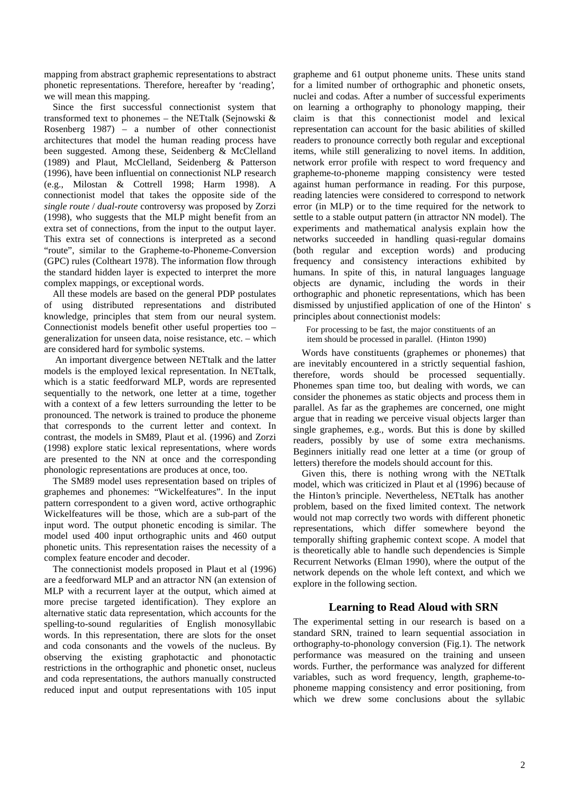mapping from abstract graphemic representations to abstract phonetic representations. Therefore, hereafter by 'reading', we will mean this mapping.

Since the first successful connectionist system that transformed text to phonemes – the NETtalk (Sejnowski  $\&$ Rosenberg 1987) – a number of other connectionist architectures that model the human reading process have been suggested. Among these, Seidenberg & McClelland (1989) and Plaut, McClelland, Seidenberg & Patterson (1996), have been influential on connectionist NLP research (e.g., Milostan & Cottrell 1998; Harm 1998). A connectionist model that takes the opposite side of the *single route* / *dual-route* controversy was proposed by Zorzi (1998), who suggests that the MLP might benefit from an extra set of connections, from the input to the output layer. This extra set of connections is interpreted as a second "route", similar to the Grapheme-to-Phoneme-Conversion (GPC) rules (Coltheart 1978). The information flow through the standard hidden layer is expected to interpret the more complex mappings, or exceptional words.

All these models are based on the general PDP postulates of using distributed representations and distributed knowledge, principles that stem from our neural system. Connectionist models benefit other useful properties too – generalization for unseen data, noise resistance, etc. – which are considered hard for symbolic systems.

An important divergence between NETtalk and the latter models is the employed lexical representation. In NETtalk, which is a static feedforward MLP, words are represented sequentially to the network, one letter at a time, together with a context of a few letters surrounding the letter to be pronounced. The network is trained to produce the phoneme that corresponds to the current letter and context. In contrast, the models in SM89, Plaut et al. (1996) and Zorzi (1998) explore static lexical representations, where words are presented to the NN at once and the corresponding phonologic representations are produces at once, too.

The SM89 model uses representation based on triples of graphemes and phonemes: "Wickelfeatures". In the input pattern correspondent to a given word, active orthographic Wickelfeatures will be those, which are a sub-part of the input word. The output phonetic encoding is similar. The model used 400 input orthographic units and 460 output phonetic units. This representation raises the necessity of a complex feature encoder and decoder.

The connectionist models proposed in Plaut et al (1996) are a feedforward MLP and an attractor NN (an extension of MLP with a recurrent layer at the output, which aimed at more precise targeted identification). They explore an alternative static data representation, which accounts for the spelling-to-sound regularities of English monosyllabic words. In this representation, there are slots for the onset and coda consonants and the vowels of the nucleus. By observing the existing graphotactic and phonotactic restrictions in the orthographic and phonetic onset, nucleus and coda representations, the authors manually constructed reduced input and output representations with 105 input

grapheme and 61 output phoneme units. These units stand for a limited number of orthographic and phonetic onsets, nuclei and codas. After a number of successful experiments on learning a orthography to phonology mapping, their claim is that this connectionist model and lexical representation can account for the basic abilities of skilled readers to pronounce correctly both regular and exceptional items, while still generalizing to novel items. In addition, network error profile with respect to word frequency and grapheme-to-phoneme mapping consistency were tested against human performance in reading. For this purpose, reading latencies were considered to correspond to network error (in MLP) or to the time required for the network to settle to a stable output pattern (in attractor NN model). The experiments and mathematical analysis explain how the networks succeeded in handling quasi-regular domains (both regular and exception words) and producing frequency and consistency interactions exhibited by humans. In spite of this, in natural languages language objects are dynamic, including the words in their orthographic and phonetic representations, which has been dismissed by unjustified application of one of the Hinton' s principles about connectionist models:

For processing to be fast, the major constituents of an item should be processed in parallel. (Hinton 1990)

Words have constituents (graphemes or phonemes) that are inevitably encountered in a strictly sequential fashion, therefore, words should be processed sequentially. Phonemes span time too, but dealing with words, we can consider the phonemes as static objects and process them in parallel. As far as the graphemes are concerned, one might argue that in reading we perceive visual objects larger than single graphemes, e.g., words. But this is done by skilled readers, possibly by use of some extra mechanisms. Beginners initially read one letter at a time (or group of letters) therefore the models should account for this.

Given this, there is nothing wrong with the NETtalk model, which was criticized in Plaut et al (1996) because of the Hinton's principle. Nevertheless, NETtalk has another problem, based on the fixed limited context. The network would not map correctly two words with different phonetic representations, which differ somewhere beyond the temporally shifting graphemic context scope. A model that is theoretically able to handle such dependencies is Simple Recurrent Networks (Elman 1990), where the output of the network depends on the whole left context, and which we explore in the following section.

## **Learning to Read Aloud with SRN**

The experimental setting in our research is based on a standard SRN, trained to learn sequential association in orthography-to-phonology conversion (Fig.1). The network performance was measured on the training and unseen words. Further, the performance was analyzed for different variables, such as word frequency, length, grapheme-tophoneme mapping consistency and error positioning, from which we drew some conclusions about the syllabic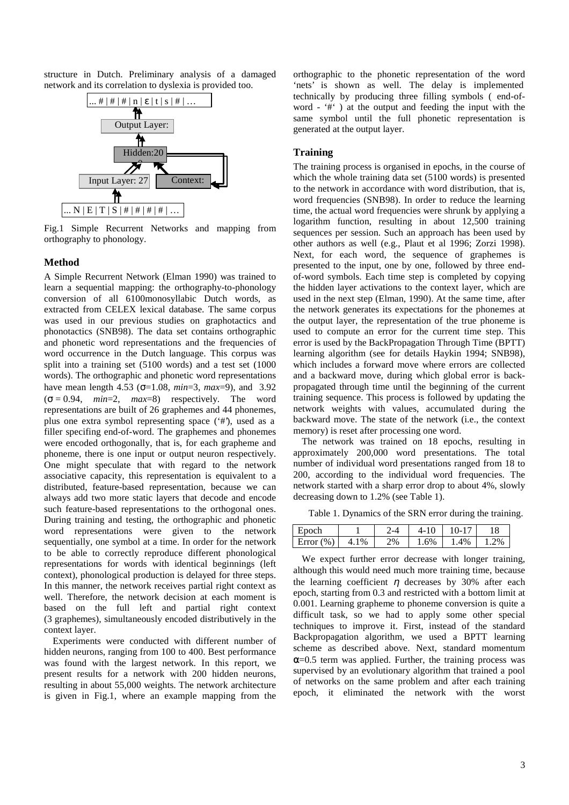structure in Dutch. Preliminary analysis of a damaged network and its correlation to dyslexia is provided too.



Fig.1 Simple Recurrent Networks and mapping from orthography to phonology.

#### **Method**

A Simple Recurrent Network (Elman 1990) was trained to learn a sequential mapping: the orthography-to-phonology conversion of all 6100monosyllabic Dutch words, as extracted from CELEX lexical database. The same corpus was used in our previous studies on graphotactics and phonotactics (SNB98). The data set contains orthographic and phonetic word representations and the frequencies of word occurrence in the Dutch language. This corpus was split into a training set (5100 words) and a test set (1000 words). The orthographic and phonetic word representations have mean length 4.53 (σ=1.08, *min*=3, *max*=9), and 3.92  $(\sigma = 0.94, \text{ min=2}, \text{ max=8})$  respectively. The word representations are built of 26 graphemes and 44 phonemes, plus one extra symbol representing space ('#'), used as a filler specifing end-of-word. The graphemes and phonemes were encoded orthogonally, that is, for each grapheme and phoneme, there is one input or output neuron respectively. One might speculate that with regard to the network associative capacity, this representation is equivalent to a distributed, feature-based representation, because we can always add two more static layers that decode and encode such feature-based representations to the orthogonal ones. During training and testing, the orthographic and phonetic word representations were given to the network sequentially, one symbol at a time. In order for the network to be able to correctly reproduce different phonological representations for words with identical beginnings (left context), phonological production is delayed for three steps. In this manner, the network receives partial right context as well. Therefore, the network decision at each moment is based on the full left and partial right context (3 graphemes), simultaneously encoded distributively in the context layer.

Experiments were conducted with different number of hidden neurons, ranging from 100 to 400. Best performance was found with the largest network. In this report, we present results for a network with 200 hidden neurons, resulting in about 55,000 weights. The network architecture is given in Fig.1, where an example mapping from the orthographic to the phonetic representation of the word 'nets' is shown as well. The delay is implemented technically by producing three filling symbols ( end-ofword - '#' ) at the output and feeding the input with the same symbol until the full phonetic representation is generated at the output layer.

## **Training**

The training process is organised in epochs, in the course of which the whole training data set (5100 words) is presented to the network in accordance with word distribution, that is, word frequencies (SNB98). In order to reduce the learning time, the actual word frequencies were shrunk by applying a logarithm function, resulting in about 12,500 training sequences per session. Such an approach has been used by other authors as well (e.g., Plaut et al 1996; Zorzi 1998). Next, for each word, the sequence of graphemes is presented to the input, one by one, followed by three endof-word symbols. Each time step is completed by copying the hidden layer activations to the context layer, which are used in the next step (Elman, 1990). At the same time, after the network generates its expectations for the phonemes at the output layer, the representation of the true phoneme is used to compute an error for the current time step. This error is used by the BackPropagation Through Time (BPTT) learning algorithm (see for details Haykin 1994; SNB98), which includes a forward move where errors are collected and a backward move, during which global error is backpropagated through time until the beginning of the current training sequence. This process is followed by updating the network weights with values, accumulated during the backward move. The state of the network (i.e., the context memory) is reset after processing one word.

The network was trained on 18 epochs, resulting in approximately 200,000 word presentations. The total number of individual word presentations ranged from 18 to 200, according to the individual word frequencies. The network started with a sharp error drop to about 4%, slowly decreasing down to 1.2% (see Table 1).

Table 1. Dynamics of the SRN error during the training.

| Epoch                  |      | -4 |     | <b>L</b> | ີ  |
|------------------------|------|----|-----|----------|----|
| $\frac{1}{2}$<br>Error | $\%$ | 2% | 60/ | 0/2      | 0/ |

We expect further error decrease with longer training, although this would need much more training time, because the learning coefficient  $n$  decreases by 30% after each epoch, starting from 0.3 and restricted with a bottom limit at 0.001. Learning grapheme to phoneme conversion is quite a difficult task, so we had to apply some other special techniques to improve it. First, instead of the standard Backpropagation algorithm, we used a BPTT learning scheme as described above. Next, standard momentum  $\alpha$ =0.5 term was applied. Further, the training process was supervised by an evolutionary algorithm that trained a pool of networks on the same problem and after each training epoch, it eliminated the network with the worst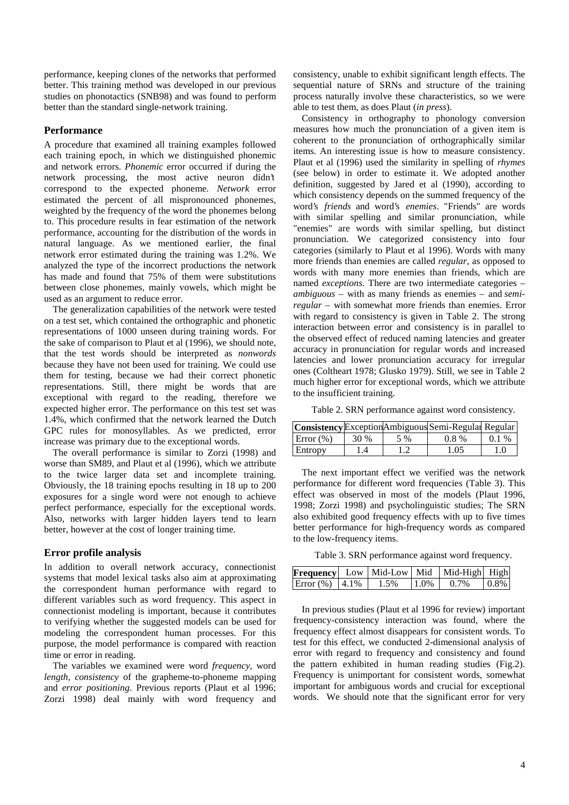performance, keeping clones of the networks that performed better. This training method was developed in our previous studies on phonotactics (SNB98) and was found to perform better than the standard single-network training.

#### **Performance**

A procedure that examined all training examples followed each training epoch, in which we distinguished phonemic and network errors. *Phonemic* error occurred if during the network processing, the most active neuron didn't correspond to the expected phoneme. *Network* error estimated the percent of all mispronounced phonemes, weighted by the frequency of the word the phonemes belong to. This procedure results in fear estimation of the network performance, accounting for the distribution of the words in natural language. As we mentioned earlier, the final network error estimated during the training was 1.2%. We analyzed the type of the incorrect productions the network has made and found that 75% of them were substitutions between close phonemes, mainly vowels, which might be used as an argument to reduce error.

The generalization capabilities of the network were tested on a test set, which contained the orthographic and phonetic representations of 1000 unseen during training words. For the sake of comparison to Plaut et al (1996), we should note, that the test words should be interpreted as *nonwords* because they have not been used for training. We could use them for testing, because we had their correct phonetic representations. Still, there might be words that are exceptional with regard to the reading, therefore we expected higher error. The performance on this test set was 1.4%, which confirmed that the network learned the Dutch GPC rules for monosyllables. As we predicted, error increase was primary due to the exceptional words.

The overall performance is similar to Zorzi (1998) and worse than SM89, and Plaut et al (1996), which we attribute to the twice larger data set and incomplete training. Obviously, the 18 training epochs resulting in 18 up to 200 exposures for a single word were not enough to achieve perfect performance, especially for the exceptional words. Also, networks with larger hidden layers tend to learn better, however at the cost of longer training time.

#### **Error profile analysis**

In addition to overall network accuracy, connectionist systems that model lexical tasks also aim at approximating the correspondent human performance with regard to different variables such as word frequency. This aspect in connectionist modeling is important, because it contributes to verifying whether the suggested models can be used for modeling the correspondent human processes. For this purpose, the model performance is compared with reaction time or error in reading.

The variables we examined were word *frequency*, word *length*, *consistency* of the grapheme-to-phoneme mapping and *error positioning*. Previous reports (Plaut et al 1996; Zorzi 1998) deal mainly with word frequency and consistency, unable to exhibit significant length effects. The sequential nature of SRNs and structure of the training process naturally involve these characteristics, so we were able to test them, as does Plaut (*in press*).

Consistency in orthography to phonology conversion measures how much the pronunciation of a given item is coherent to the pronunciation of orthographically similar items. An interesting issue is how to measure consistency. Plaut et al (1996) used the similarity in spelling of *rhymes* (see below) in order to estimate it. We adopted another definition, suggested by Jared et al (1990), according to which consistency depends on the summed frequency of the word's *friends* and word's *enemies*. "Friends" are words with similar spelling and similar pronunciation, while "enemies" are words with similar spelling, but distinct pronunciation. We categorized consistency into four categories (similarly to Plaut et al 1996). Words with many more friends than enemies are called *regular*, as opposed to words with many more enemies than friends, which are named *exceptions*. There are two intermediate categories – *ambiguous* – with as many friends as enemies – and *semiregular* – with somewhat more friends than enemies. Error with regard to consistency is given in Table 2. The strong interaction between error and consistency is in parallel to the observed effect of reduced naming latencies and greater accuracy in pronunciation for regular words and increased latencies and lower pronunciation accuracy for irregular ones (Coltheart 1978; Glusko 1979). Still, we see in Table 2 much higher error for exceptional words, which we attribute to the insufficient training.

Table 2. SRN performance against word consistency.

|                     |      |     | Consistency Exception Ambiguous Semi-Regular Regular |         |
|---------------------|------|-----|------------------------------------------------------|---------|
| $\text{Error}(\% )$ | 30 % | 5 % | $0.8\%$                                              | $0.1\%$ |
| Entropy             | . .4 |     | 1.05                                                 | 1.0     |

The next important effect we verified was the network performance for different word frequencies (Table 3). This effect was observed in most of the models (Plaut 1996, 1998; Zorzi 1998) and psycholinguistic studies; The SRN also exhibited good frequency effects with up to five times better performance for high-frequency words as compared to the low-frequency items.

Table 3. SRN performance against word frequency.

| <b>Frequency</b> Low Mid-Low Mid Mid-High High |      |         |         |         |
|------------------------------------------------|------|---------|---------|---------|
| Error $(\% )$   4.1%                           | 1.5% | $1.0\%$ | $0.7\%$ | $0.8\%$ |

In previous studies (Plaut et al 1996 for review) important frequency-consistency interaction was found, where the frequency effect almost disappears for consistent words. To test for this effect, we conducted 2-dimensional analysis of error with regard to frequency and consistency and found the pattern exhibited in human reading studies (Fig.2). Frequency is unimportant for consistent words, somewhat important for ambiguous words and crucial for exceptional words. We should note that the significant error for very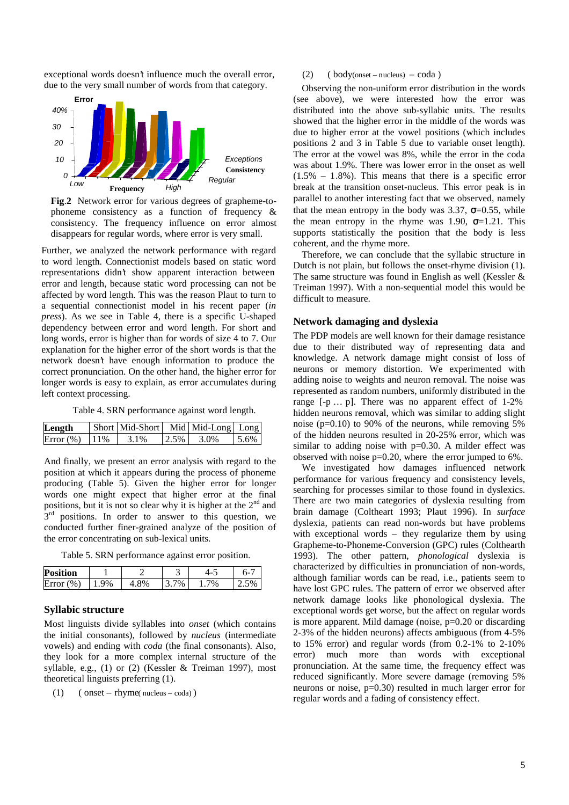exceptional words doesn't influence much the overall error, due to the very small number of words from that category.



**Fig**.**2** Network error for various degrees of grapheme-tophoneme consistency as a function of frequency & consistency. The frequency influence on error almost disappears for regular words, where error is very small.

Further, we analyzed the network performance with regard to word length. Connectionist models based on static word representations didn't show apparent interaction between error and length, because static word processing can not be affected by word length. This was the reason Plaut to turn to a sequential connectionist model in his recent paper (*in press*). As we see in Table 4, there is a specific U-shaped dependency between error and word length. For short and long words, error is higher than for words of size 4 to 7. Our explanation for the higher error of the short words is that the network doesn't have enough information to produce the correct pronunciation. On the other hand, the higher error for longer words is easy to explain, as error accumulates during left context processing.

Table 4. SRN performance against word length.

| Length              |      |         | Short Mid-Short Mid Mid-Long Long |      |
|---------------------|------|---------|-----------------------------------|------|
| Error $(\% )$   11% | 3.1% | $2.5\%$ | 3.0%                              | 5.6% |

And finally, we present an error analysis with regard to the position at which it appears during the process of phoneme producing (Table 5). Given the higher error for longer words one might expect that higher error at the final positions, but it is not so clear why it is higher at the  $2<sup>nd</sup>$  and  $3<sup>rd</sup>$  positions. In order to answer to this question, we conducted further finer-grained analyze of the position of the error concentrating on sub-lexical units.

Table 5. SRN performance against error position.

| <b>Position</b> |    |     |      |                | n- |
|-----------------|----|-----|------|----------------|----|
| Error $(\%)$    | 9% | .8% | $\%$ | $\frac{10}{6}$ | ر  |

#### **Syllabic structure**

Most linguists divide syllables into *onset* (which contains the initial consonants), followed by *nucleus* (intermediate vowels) and ending with *coda* (the final consonants). Also, they look for a more complex internal structure of the syllable, e.g., (1) or (2) (Kessler & Treiman 1997), most theoretical linguists preferring (1).

(1)  $($  onset – rhyme( nucleus – coda) )

#### (2) ( body(onset – nucleus) – coda )

Observing the non-uniform error distribution in the words (see above), we were interested how the error was distributed into the above sub-syllabic units. The results showed that the higher error in the middle of the words was due to higher error at the vowel positions (which includes positions 2 and 3 in Table 5 due to variable onset length). The error at the vowel was 8%, while the error in the coda was about 1.9%. There was lower error in the onset as well  $(1.5\% - 1.8\%)$ . This means that there is a specific error break at the transition onset-nucleus. This error peak is in parallel to another interesting fact that we observed, namely that the mean entropy in the body was 3.37,  $\sigma$ =0.55, while the mean entropy in the rhyme was 1.90,  $\sigma$ =1.21. This supports statistically the position that the body is less coherent, and the rhyme more.

Therefore, we can conclude that the syllabic structure in Dutch is not plain, but follows the onset-rhyme division (1). The same structure was found in English as well (Kessler & Treiman 1997). With a non-sequential model this would be difficult to measure.

## **Network damaging and dyslexia**

The PDP models are well known for their damage resistance due to their distributed way of representing data and knowledge. A network damage might consist of loss of neurons or memory distortion. We experimented with adding noise to weights and neuron removal. The noise was represented as random numbers, uniformly distributed in the range [-p … p]. There was no apparent effect of 1-2% hidden neurons removal, which was similar to adding slight noise (p=0.10) to 90% of the neurons, while removing 5% of the hidden neurons resulted in 20-25% error, which was similar to adding noise with  $p=0.30$ . A milder effect was observed with noise p=0.20, where the error jumped to 6%.

We investigated how damages influenced network performance for various frequency and consistency levels, searching for processes similar to those found in dyslexics. There are two main categories of dyslexia resulting from brain damage (Coltheart 1993; Plaut 1996). In *surface* dyslexia, patients can read non-words but have problems with exceptional words – they regularize them by using Grapheme-to-Phoneme-Conversion (GPC) rules (Colthearth 1993). The other pattern, *phonological* dyslexia is characterized by difficulties in pronunciation of non-words, although familiar words can be read, i.e., patients seem to have lost GPC rules. The pattern of error we observed after network damage looks like phonological dyslexia. The exceptional words get worse, but the affect on regular words is more apparent. Mild damage (noise, p=0.20 or discarding 2-3% of the hidden neurons) affects ambiguous (from 4-5% to 15% error) and regular words (from 0.2-1% to 2-10% error) much more than words with exceptional pronunciation. At the same time, the frequency effect was reduced significantly. More severe damage (removing 5% neurons or noise, p=0.30) resulted in much larger error for regular words and a fading of consistency effect.